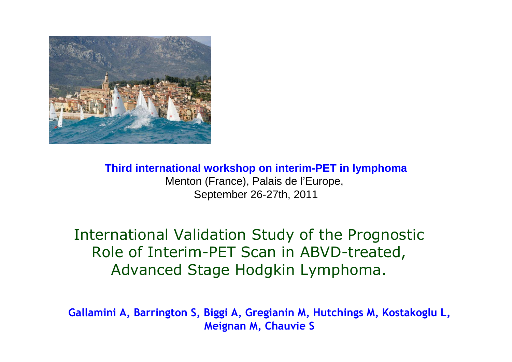

**Third international workshop on interim-PET in lymphoma**Menton (France), Palais de l'Europe, September 26-27th, 2011

International Validation Study of the Prognostic Role of Interim-PET Scan in ABVD-treated, Advanced Stage Hodgkin Lymphoma.

**Gallamini A, Barrington S, Biggi A, Gregianin M, Hutchings M, Kostakoglu L, Meignan M, Chauvie S**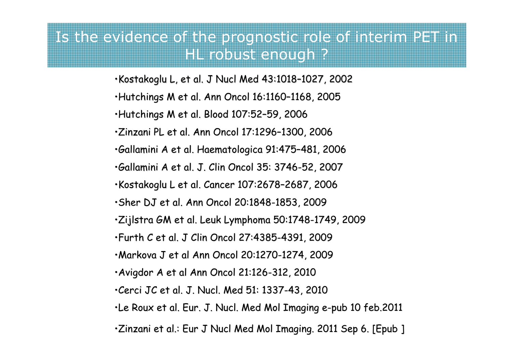#### Is the evidence of the prognostic role of interim PET in HL robust enough ?

- •Kostakoglu L, et al. J Nucl Med 43:1018–1027, 2002
- •Hutchings M et al. Ann Oncol 16:1160–1168, 2005
- •Hutchings M et al. Blood 107:52–59, 2006
- •Zinzani PL et al. Ann Oncol 17:1296–1300, 2006
- •Gallamini A et al. Haematologica 91:475–481, 2006
- •Gallamini A et al. J. Clin Oncol 35: 3746-52, 2007
- •Kostakoglu L et al. Cancer 107:2678–2687, 2006
- •Sher DJ et al. Ann Oncol 20:1848-1853, 2009
- •Zijlstra GM et al. Leuk Lymphoma 50:1748-1749, 2009
- •Furth C et al. J Clin Oncol 27:4385-4391, 2009
- •Markova J et al Ann Oncol 20:1270-1274, 2009
- •Avigdor A et al Ann Oncol 21:126-312, 2010
- •Cerci JC et al. J. Nucl. Med 51: 1337-43, 2010
- •Le Roux et al. Eur. J. Nucl. Med Mol Imaging e-pub 10 feb.2011
- •Zinzani et al.: Eur J Nucl Med Mol Imaging. 2011 Sep 6. [Epub ]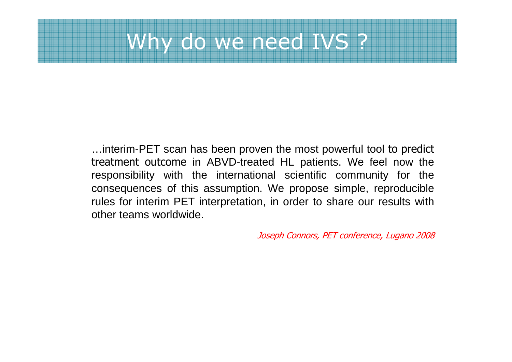## Why do we need IVS ?

…interim-PET scan has been proven the most powerful tool to predict treatment outcome in ABVD-treated HL patients. We feel now the responsibility with the international scientific community for the consequences of this assumption. We propose simple, reproducible rules for interim PET interpretation, in order to share our results with other teams worldwide.

Joseph Connors, PET conference, Lugano 2008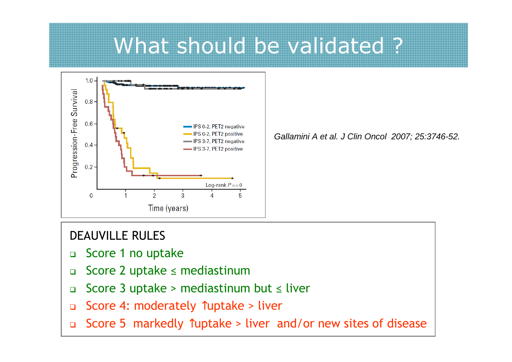### What should be validated?



Gallamini A et al. J Clin Oncol 2007; 25:3746-52.

#### DEAUVILLE RULES

- $\Box$ Score 1 no uptake
- $\Box$ Score 2 uptake ≤ mediastinum
- Score 3 uptake > mediastinum but ≤ liver  $\Box$
- $\Box$ Score 4: moderately ↑uptake > liver
- $\Box$ Score 5 markedly ↑uptake > liver and/or new sites of disease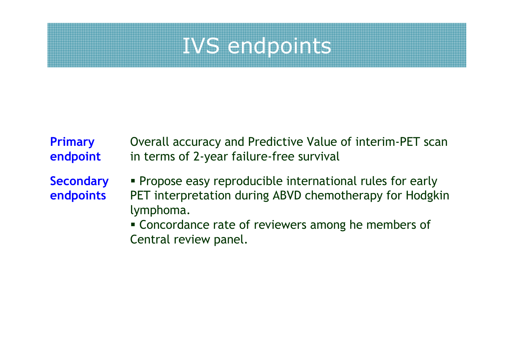## IVS endpoints

#### Overall accuracy and Predictive Value of interim-PET scan in terms of 2-year failure-free survival **Primary endpoint**

**Secondary endpoints**

- Propose easy reproducible international rules for early PET interpretation during ABVD chemotherapy for Hodgkin lymphoma.
- Concordance rate of reviewers among he members of Central review panel.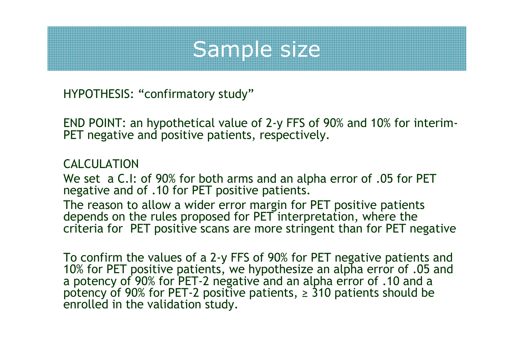## Sample size

HYPOTHESIS: "confirmatory study"

END POINT: an hypothetical value of 2-y FFS of 90% and 10% for interim-PET negative and positive patients, respectively.

#### CALCULATION

 We set a C.I: of 90% for both arms and an alpha error of .05 for PET negative and of .10 for PET positive patients.

The reason to allow a wider error margin for PET positive patients<br>depends on the rules proposed for PET interpretation, where the criteria for PET positive scans are more stringent than for PET negative

To confirm the values of a 2-y FFS of 90% for PET negative patients and 10% for PET positive patients, we hypothesize an alpha error of .05 and a potency of 90% for PET-2 negative and an alpha error of .10 and a potency of 90% for PET-2 positive patients, ≥ 310 patients should be enrolled in the validation study.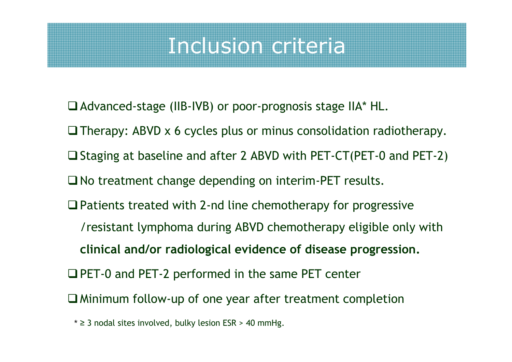### Inclusion criteria

- Advanced-stage (IIB-IVB) or poor-prognosis stage IIA\* HL.
- □ Therapy: ABVD x 6 cycles plus or minus consolidation radiotherapy.
- □ Staging at baseline and after 2 ABVD with PET-CT(PET-0 and PET-2)
- $\square$  No treatment change depending on interim-PET results.
- $\Box$  Patients treated with 2-nd line chemotherapy for progressive /resistant lymphoma during ABVD chemotherapy eligible only with **clinical and/or radiological evidence of disease progression.**
- **□ PET-0 and PET-2 performed in the same PET center**
- Minimum follow-up of one year after treatment completion
	- \* ≥ 3 nodal sites involved, bulky lesion ESR > 40 mmHg.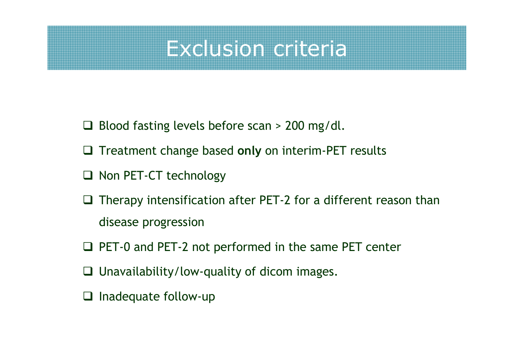### Exclusion criteria

- Blood fasting levels before scan > 200 mg/dl.
- □ Treatment change based only on interim-PET results
- □ Non PET-CT technology
- $\Box$  Therapy intensification after PET-2 for a different reason than disease progression
- □ PET-0 and PET-2 not performed in the same PET center
- Unavailability/low-quality of dicom images.
- $\Box$  Inadequate follow-up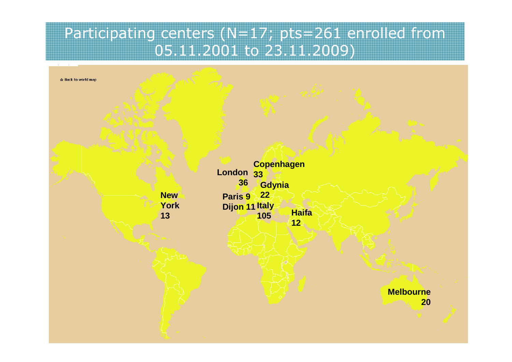#### Participating centers (N=17; pts=261 enrolled from 05.11.2001 to 23.11.2009)

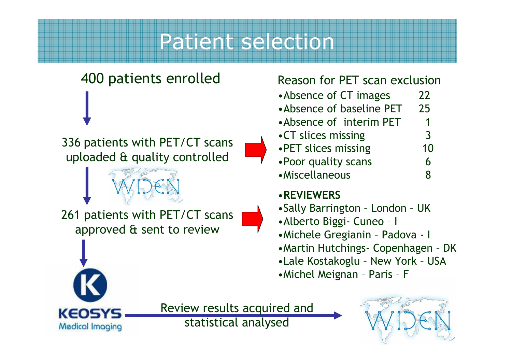### Patient selection

# 400 patients enrolled

<sup>336</sup> patients with PET/CT scans uploaded & quality controlled

261 patients with PET/CT scans approved & sent to review

#### Reason for PET scan exclusion

- •Absence of CT images 22
- 25 •Absence of baseline PET
- •Absence of interim PET
- $\overline{3}$ •CT slices missing
- 10 • PET slices missing
- •Poor quality scans 6
- •Miscellaneous

#### •**REVIEWERS**

- •Sally Barrington London UK
- •Alberto Biggi- Cuneo <sup>I</sup>
- •Michele Gregianin Padova <sup>I</sup>
- •Martin Hutchings- Copenhagen DK
- •Lale Kostakoglu New York USA
- •Michel Meignan Paris <sup>F</sup>



Review results acquired and statistical analysed



1

6

8